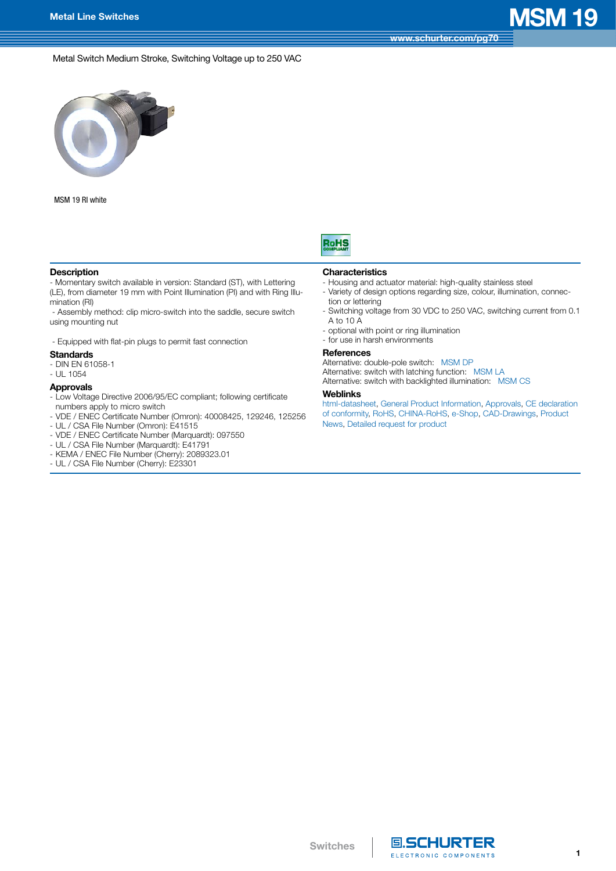## **[www.schurter.com/pg70](http://www.schurter.com/pg70)**

Metal Switch Medium Stroke, Switching Voltage up to 250 VAC



MSM 19 RI white



### **Description**

- Momentary switch available in version: Standard (ST), with Lettering (LE), from diameter 19 mm with Point Illumination (PI) and with Ring Illumination (RI)

 - Assembly method: clip micro-switch into the saddle, secure switch using mounting nut

- Equipped with flat-pin plugs to permit fast connection

### **Standards**

- DIN EN 61058-1
- UL 1054

### **Approvals**

- Low Voltage Directive 2006/95/EC compliant; following certificate numbers apply to micro switch

- VDE / ENEC Certificate Number (Omron): 40008425, 129246, 125256
- UL / CSA File Number (Omron): E41515
- VDE / ENEC Certificate Number (Marquardt): 097550
- UL / CSA File Number (Marquardt): E41791
- KEMA / ENEC File Number (Cherry): 2089323.01
- UL / CSA File Number (Cherry): E23301

### **Characteristics**

- Housing and actuator material: high-quality stainless steel
- Variety of design options regarding size, colour, illumination, connection or lettering
- Switching voltage from 30 VDC to 250 VAC, switching current from 0.1 A to 10 A
- optional with point or ring illumination
- for use in harsh environments

### **References**

Alternative: double-pole switch: [MSM DP](http://www.schurter.ch/pdf/english/typ_MSM_DP.pdf) Alternative: switch with latching function: [MSM LA](http://www.schurter.ch/pdf/english/typ_MSM_LA.pdf) Alternative: switch with backlighted illumination: [MSM CS](http://www.schurter.ch/pdf/english/typ_MSM_CS.pdf)

### **Weblinks**

[html-datasheet,](http://www.schurter.ch/en/datasheet/MSM%2019) [General Product Information](http://www.schurter.ch/products/es_general_info.asp), [Approvals,](http://www.schurter.ch/support/iframe_approvals.aspQuery=Field+producttype=MSM) [CE declaration](http://www.schurter.com/en/Documents-References/Approvals/(id)/MSM+AND+FIELD+CertificationInstitute=SAG)  [of conformity,](http://www.schurter.com/en/Documents-References/Approvals/(id)/MSM+AND+FIELD+CertificationInstitute=SAG) [RoHS, CHINA-RoHS](http://www.schurter.com/china-rohs), [e-Shop](http://www.schurter.ch/en/datasheet/MSM%2019#Anker_Variants), [CAD-Drawings](http://www.schurter.ch/support/iframe_cad.asp?SearchText=MSM_19&ConfirmButton&SearchFilter=Type), [Product](http://www.schurter.ch/products/product_news.asp?sge=input_systems)  [News](http://www.schurter.ch/products/product_news.asp?sge=input_systems), [Detailed request for product](http://www.schurter.com/Contact/Contact-Form?type=MSM_19)



 $\mathbf{1}$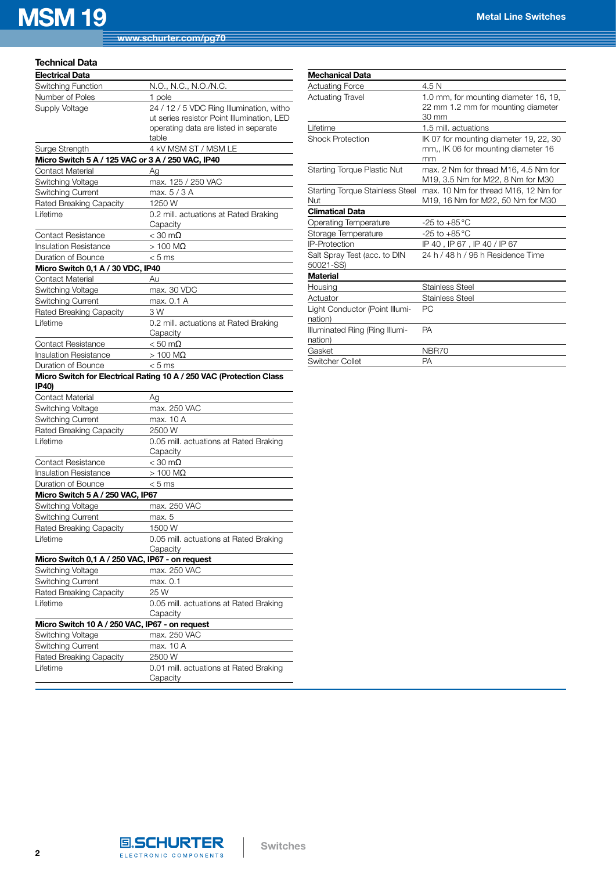## **MSM 19 Metal Line Switches**

### **Technical Data**

| <b>Electrical Data</b>                            |                                                                     |
|---------------------------------------------------|---------------------------------------------------------------------|
| Switching Function                                | N.O., N.C., N.O./N.C.                                               |
| Number of Poles                                   | 1 pole                                                              |
| Supply Voltage                                    | 24 / 12 / 5 VDC Ring Illumination, witho                            |
|                                                   | ut series resistor Point Illumination, LED                          |
|                                                   | operating data are listed in separate                               |
|                                                   | table                                                               |
| Surge Strength                                    | 4 kV MSM ST / MSM LE                                                |
| Micro Switch 5 A / 125 VAC or 3 A / 250 VAC, IP40 |                                                                     |
| Contact Material                                  | Ag                                                                  |
| <b>Switching Voltage</b>                          | max. 125 / 250 VAC                                                  |
| Switching Current                                 | max. 5 / 3 A                                                        |
| Rated Breaking Capacity                           | 1250 W                                                              |
| Lifetime                                          | 0.2 mill. actuations at Rated Braking                               |
|                                                   | Capacity                                                            |
| Contact Resistance                                | $<$ 30 m $\Omega$                                                   |
| <b>Insulation Resistance</b>                      | $>100$ M $\Omega$                                                   |
| Duration of Bounce                                | $< 5$ ms                                                            |
| Micro Switch 0,1 A / 30 VDC, IP40                 |                                                                     |
| Contact Material                                  | Au                                                                  |
| <b>Switching Voltage</b>                          | max. 30 VDC                                                         |
| Switching Current<br>Rated Breaking Capacity      | max. 0.1 A<br>3 W                                                   |
| Lifetime                                          |                                                                     |
|                                                   | 0.2 mill. actuations at Rated Braking<br>Capacity                   |
| Contact Resistance                                | $< 50 \text{ m}\Omega$                                              |
| Insulation Resistance                             | $>100$ M $\Omega$                                                   |
| Duration of Bounce                                | $< 5$ ms                                                            |
|                                                   |                                                                     |
|                                                   |                                                                     |
| IP40)                                             | Micro Switch for Electrical Rating 10 A / 250 VAC (Protection Class |
| <b>Contact Material</b>                           | Aq                                                                  |
| Switching Voltage                                 | max. 250 VAC                                                        |
| Switching Current                                 | max. 10 A                                                           |
| Rated Breaking Capacity                           | 2500 W                                                              |
| Lifetime                                          | 0.05 mill. actuations at Rated Braking<br>Capacity                  |
| <b>Contact Resistance</b>                         | $<$ 30 m $\Omega$                                                   |
| <b>Insulation Resistance</b>                      | $>100$ M $\Omega$                                                   |
| Duration of Bounce                                | $< 5$ ms                                                            |
| Micro Switch 5 A / 250 VAC, IP67                  |                                                                     |
| Switching Voltage                                 | max. 250 VAC                                                        |
| Switching Current                                 | max. 5                                                              |
| Rated Breaking Capacity                           | 1500 W                                                              |
| Lifetime                                          | 0.05 mill. actuations at Rated Braking                              |
|                                                   | Capacity                                                            |
| Micro Switch 0,1 A / 250 VAC, IP67 - on request   |                                                                     |
| Switching Voltage                                 | max. 250 VAC                                                        |
| Switching Current                                 | max. 0.1                                                            |
| <b>Rated Breaking Capacity</b>                    | 25 W                                                                |
| Lifetime                                          | 0.05 mill. actuations at Rated Braking                              |
|                                                   | Capacity                                                            |
| Micro Switch 10 A / 250 VAC, IP67 - on request    |                                                                     |
| <b>Switching Voltage</b>                          | max. 250 VAC<br>max. 10 A                                           |
| Switching Current                                 |                                                                     |
| <b>Rated Breaking Capacity</b><br>Lifetime        | 2500 W<br>0.01 mill. actuations at Rated Braking                    |

| <b>Mechanical Data</b>                        |                                                                                      |
|-----------------------------------------------|--------------------------------------------------------------------------------------|
| <b>Actuating Force</b>                        | 4.5 N                                                                                |
| <b>Actuating Travel</b>                       | 1.0 mm, for mounting diameter 16, 19,<br>22 mm 1.2 mm for mounting diameter<br>30 mm |
| Lifetime                                      | 1.5 mill. actuations                                                                 |
| <b>Shock Protection</b>                       | IK 07 for mounting diameter 19, 22, 30<br>mm., IK 06 for mounting diameter 16<br>mm  |
| <b>Starting Torque Plastic Nut</b>            | max, 2 Nm for thread M16, 4.5 Nm for<br>M19, 3.5 Nm for M22, 8 Nm for M30            |
| <b>Starting Torque Stainless Steel</b><br>Nut | max, 10 Nm for thread M16, 12 Nm for<br>M19, 16 Nm for M22, 50 Nm for M30            |
| <b>Climatical Data</b>                        |                                                                                      |
| Operating Temperature                         | $-25$ to $+85^{\circ}$ C                                                             |
| Storage Temperature                           | -25 to +85 °C                                                                        |
| <b>IP-Protection</b>                          | IP 40, IP 67, IP 40 / IP 67                                                          |
| Salt Spray Test (acc. to DIN<br>50021-SS)     | 24 h / 48 h / 96 h Residence Time                                                    |
| <b>Material</b>                               |                                                                                      |
| Housing                                       | <b>Stainless Steel</b>                                                               |
| Actuator                                      | <b>Stainless Steel</b>                                                               |
| Light Conductor (Point Illumi-<br>nation)     | РC.                                                                                  |
| Illuminated Ring (Ring Illumi-<br>nation)     | <b>PA</b>                                                                            |
| Gasket                                        | NBR70                                                                                |
| Switcher Collet                               | РA                                                                                   |

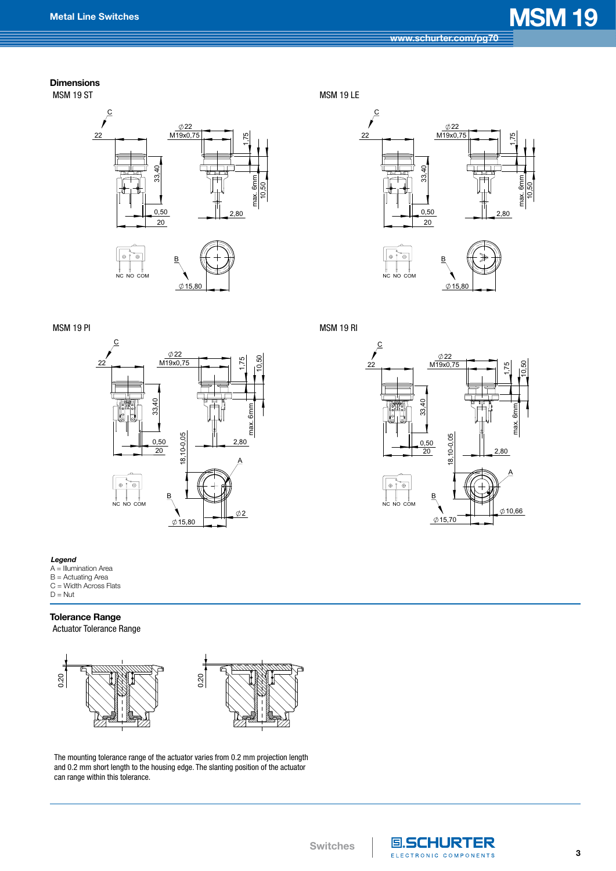# **Metal Line Switches MSM 19**

### **Dimensions**





 $0.15,80$ 

NC NO COM





MSM 19 LE



 $0.15,80$ 

NC NO COM

MSM 19 RI

**Switches**



#### *Legend*

- A = Illumination Area
- B = Actuating Area
- C = Width Across Flats  $D = N$ ut

### **Tolerance Range**

Actuator Tolerance Range



The mounting tolerance range of the actuator varies from 0.2 mm projection length and 0.2 mm short length to the housing edge. The slanting position of the actuator can range within this tolerance.



3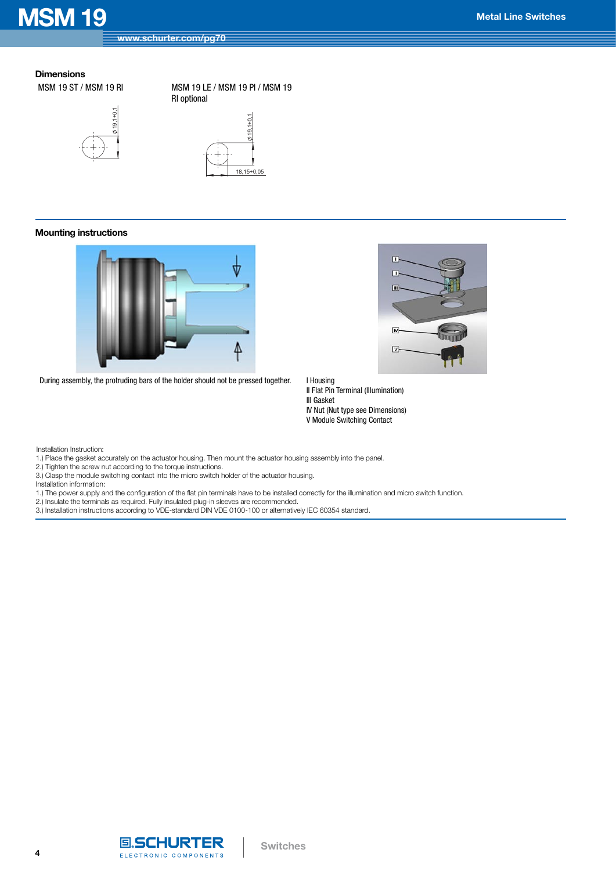## **MSM 19 Metal Line Switches**

### **Dimensions** MSM 19 ST / MSM 19 RI



MSM 19 LE / MSM 19 PI / MSM 19 RI optional



### **Mounting instructions**



During assembly, the protruding bars of the holder should not be pressed together. I Housing



II Flat Pin Terminal (Illumination) III Gasket IV Nut (Nut type see Dimensions) V Module Switching Contact

Installation Instruction:

1.) Place the gasket accurately on the actuator housing. Then mount the actuator housing assembly into the panel.

2.) Tighten the screw nut according to the torque instructions.

3.) Clasp the module switching contact into the micro switch holder of the actuator housing.

Installation information:

1.) The power supply and the configuration of the flat pin terminals have to be installed correctly for the illumination and micro switch function.

2.) Insulate the terminals as required. Fully insulated plug-in sleeves are recommended.

3.) Installation instructions according to VDE-standard DIN VDE 0100-100 or alternatively IEC 60354 standard.

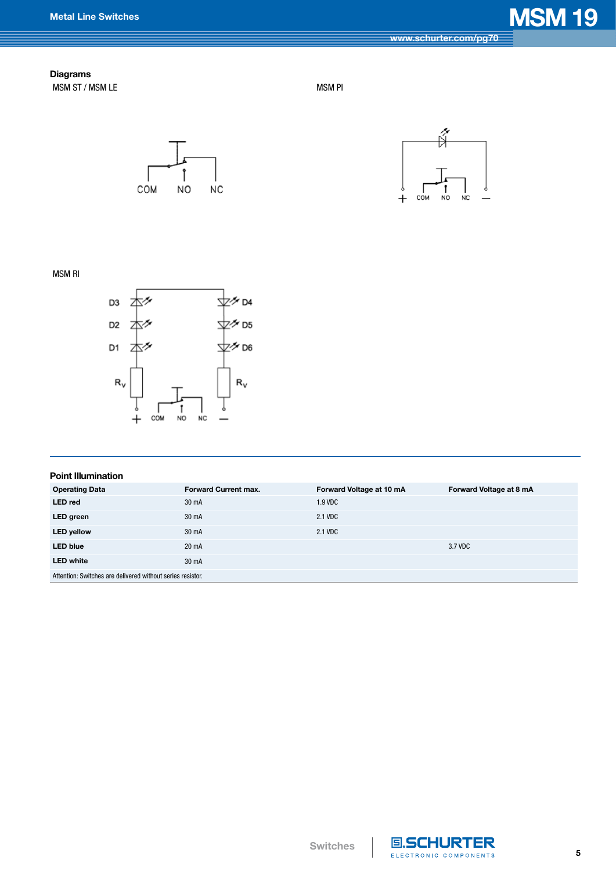# **Metal Line Switches MSM 19**

### **Diagrams** MSM ST / MSM LE MSM PI





MSM RI



| <b>Point Illumination</b>                                  |                             |                          |                         |  |  |  |  |
|------------------------------------------------------------|-----------------------------|--------------------------|-------------------------|--|--|--|--|
| <b>Operating Data</b>                                      | <b>Forward Current max.</b> | Forward Voltage at 10 mA | Forward Voltage at 8 mA |  |  |  |  |
| <b>LED</b> red                                             | 30 mA                       | 1.9 VDC                  |                         |  |  |  |  |
| LED green                                                  | 30 mA                       | 2.1 VDC                  |                         |  |  |  |  |
| <b>LED yellow</b>                                          | 30 mA                       | 2.1 VDC                  |                         |  |  |  |  |
| <b>LED blue</b>                                            | 20 mA                       |                          | 3.7 VDC                 |  |  |  |  |
| <b>LED white</b>                                           | 30 mA                       |                          |                         |  |  |  |  |
| Attention: Switches are delivered without series resistor. |                             |                          |                         |  |  |  |  |

**Switches**



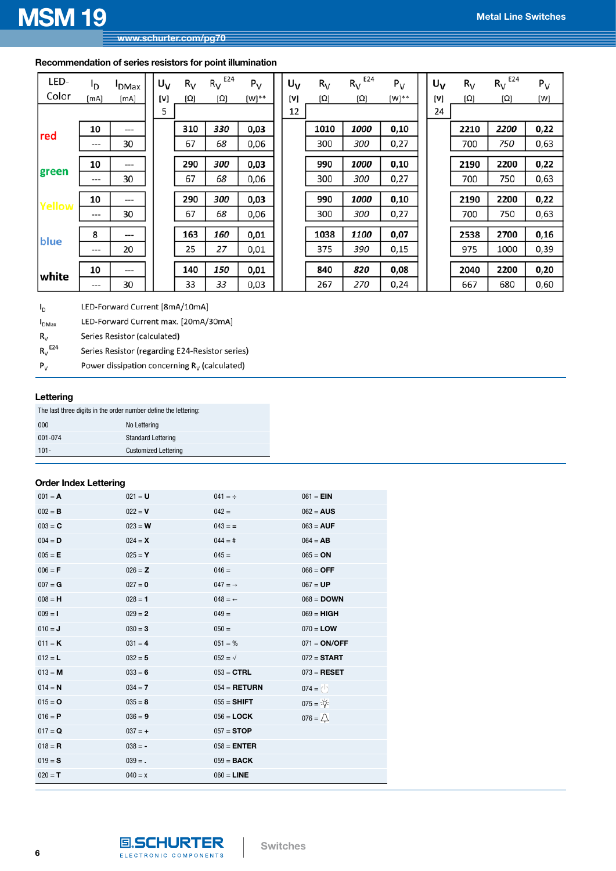### **Recommendation of series resistors for point illumination**

| LED-          | ٥ŀ   | <b>DMax</b> | $U_V$ | $R_V$      | E24<br>$R_V$ | $P_V$ | U <sub>V</sub> | $R_V$      | E24<br>$R_V$ | $P_V$      | U <sub>V</sub> | $R_V$      | E24<br>$R_V$ | $P_V$ |
|---------------|------|-------------|-------|------------|--------------|-------|----------------|------------|--------------|------------|----------------|------------|--------------|-------|
| Color         | [mA] | [mA]        | [V]   | $[\Omega]$ | $[\Omega]$   | [W]** | [V]            | $[\Omega]$ | [Ω]          | $[W]^{**}$ | [V]            | $[\Omega]$ | $[\Omega]$   | [W]   |
|               |      |             | 5     |            |              |       | 12             |            |              |            | 24             |            |              |       |
| red           | 10   | $---$       |       | 310        | 330          | 0,03  |                | 1010       | 1000         | 0,10       |                | 2210       | 2200         | 0,22  |
|               | ---  | 30          |       | 67         | 68           | 0,06  |                | 300        | 300          | 0,27       |                | 700        | 750          | 0,63  |
|               | 10   | ---         |       | 290        | 300          | 0,03  |                | 990        | 1000         | 0,10       |                | 2190       | 2200         | 0,22  |
| green         | ---  | 30          |       | 67         | 68           | 0,06  |                | 300        | 300          | 0,27       |                | 700        | 750          | 0,63  |
|               | 10   | ---         |       | 290        | 300          | 0,03  |                | 990        | 1000         | 0,10       |                | 2190       | 2200         | 0,22  |
| <b>Yellow</b> |      |             |       |            |              |       |                |            |              |            |                |            |              |       |
|               | ---  | 30          |       | 67         | 68           | 0,06  |                | 300        | 300          | 0,27       |                | 700        | 750          | 0,63  |
| blue          | 8    | ---         |       | 163        | 160          | 0,01  |                | 1038       | 1100         | 0,07       |                | 2538       | 2700         | 0,16  |
|               | ---  | 20          |       | 25         | 27           | 0,01  |                | 375        | 390          | 0,15       |                | 975        | 1000         | 0,39  |
|               |      |             |       |            |              |       |                |            |              |            |                |            |              |       |
| white         | 10   | $---$       |       | 140        | 150          | 0,01  |                | 840        | 820          | 0,08       |                | 2040       | 2200         | 0,20  |
|               | ---  | 30          |       | 33         | 33           | 0,03  |                | 267        | 270          | 0,24       |                | 667        | 680          | 0,60  |

LED-Forward Current [8mA/10mA]  $I_D$ 

 $I_{DMax}$ LED-Forward Current max. [20mA/30mA]

Series Resistor (calculated)  $R_V$ 

 $R_V^{E24}$ Series Resistor (regarding E24-Resistor series)

Power dissipation concerning  $R_V$  (calculated)  $\mathsf{P}_\mathsf{V}$ 

### **Lettering**

The last three digits in the order number define the lettering:

| 000     | No Lettering                |
|---------|-----------------------------|
| 001-074 | <b>Standard Lettering</b>   |
| $101 -$ | <b>Customized Lettering</b> |

### **Order Index Lettering**

| $001 = A$ | $021 = U$ | $041 = \div$         | $061 = EIN$         |
|-----------|-----------|----------------------|---------------------|
| $002 = B$ | $022 = V$ | $042 =$              | $062 = AUS$         |
| $003 = C$ | $023 = W$ | $043 =$              | $063 = AUF$         |
| $004 = D$ | $024 = X$ | $044 = #$            | $064 = AB$          |
| $005 = E$ | $025 = Y$ | $045 =$              | $065 = ON$          |
| $006 = F$ | $026 = Z$ | $046 =$              | $066 =$ OFF         |
| $007 = G$ | $027 = 0$ | $047 = \rightarrow$  | $067 = UP$          |
| $008 = H$ | $028 = 1$ | $048 =$ $\leftarrow$ | $068 =$ <b>DOWN</b> |
| $009 = 1$ | $029 = 2$ | $049 =$              | $069 = HIGH$        |
| $010 = J$ | $030 = 3$ | $050 =$              | $070 =$ <b>LOW</b>  |
| $011 = K$ | $031 = 4$ | $051 = %$            | $071 = ON/OFF$      |
| $012 = L$ | $032 = 5$ | $052 = \sqrt{ }$     | $072 =$ START       |
| $013 = M$ | $033 = 6$ | $053 = CTRL$         | $073 = RESET$       |
| $014 = N$ | $034 = 7$ | $054 = RETURN$       | $074 = ()$          |
| $015 = 0$ | $035 = 8$ | $055 = SHIFT$        | $075 = \frac{1}{2}$ |
| $016 = P$ | $036 = 9$ | $056 =$ <b>LOCK</b>  | $076 = \triangle$   |
| $017 = Q$ | $037 = +$ | $057 = STOP$         |                     |
| $018 = R$ | $038 = -$ | $058 = ENTER$        |                     |
| $019 = S$ | $039 = .$ | $059 = BACK$         |                     |
| $020 = T$ | $040 = x$ | $060 =$ <b>LINE</b>  |                     |

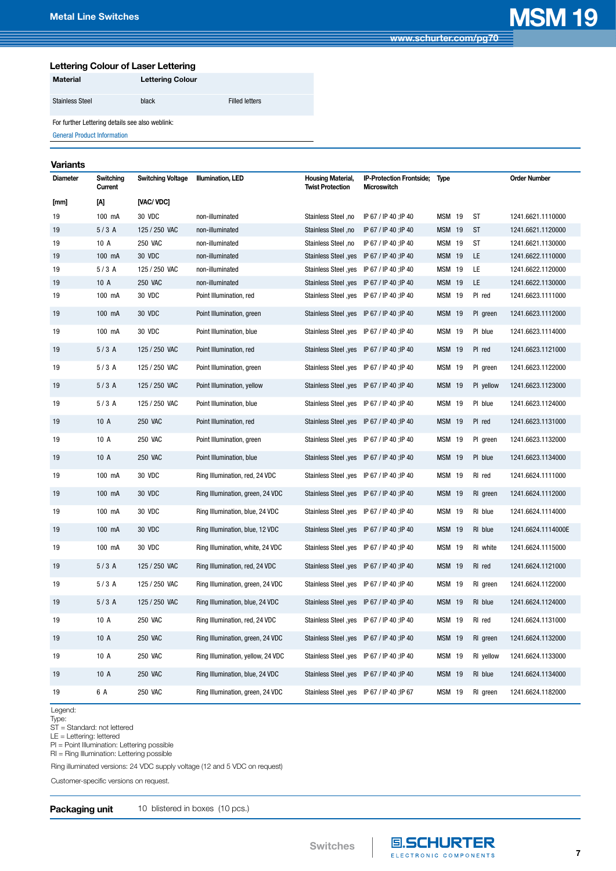**[www.schurter.com/pg70](http://www.schurter.com/pg70)**

### **Lettering Colour of Laser Lettering**

| <b>Material</b>        | <b>Lettering Colour</b> |                       |
|------------------------|-------------------------|-----------------------|
| <b>Stainless Steel</b> | black                   | <b>Filled letters</b> |

For further Lettering details see also weblink:

[General Product Information](http://www.schurter.ch/products/es_general_info.asp)

### **Variants**

| Diameter | Switching<br>Current | Switching Voltage | Illumination, LED                 | Housing Material,<br><b>Twist Protection</b> | IP-Protection Frontside;<br>Microswitch | Type          |           | <b>Order Number</b> |
|----------|----------------------|-------------------|-----------------------------------|----------------------------------------------|-----------------------------------------|---------------|-----------|---------------------|
| [mm]     | [A]                  | [VAC/ VDC]        |                                   |                                              |                                         |               |           |                     |
| 19       | 100 mA               | 30 VDC            | non-illuminated                   | Stainless Steel ,no                          | IP 67 / IP 40 ; IP 40                   | <b>MSM 19</b> | <b>ST</b> | 1241.6621.1110000   |
| 19       | 5/3A                 | 125 / 250 VAC     | non-illuminated                   | Stainless Steel ,no                          | IP 67 / IP 40 : IP 40                   | <b>MSM 19</b> | <b>ST</b> | 1241.6621.1120000   |
| 19       | 10 A                 | <b>250 VAC</b>    | non-illuminated                   | Stainless Steel ,no                          | IP 67 / IP 40 ; IP 40                   | <b>MSM 19</b> | <b>ST</b> | 1241.6621.1130000   |
| 19       | 100 mA               | 30 VDC            | non-illuminated                   | Stainless Steel , yes IP 67 / IP 40 ; IP 40  |                                         | <b>MSM 19</b> | LE        | 1241.6622.1110000   |
| 19       | 5/3A                 | 125 / 250 VAC     | non-illuminated                   | Stainless Steel, yes IP 67 / IP 40 ; IP 40   |                                         | <b>MSM 19</b> | LE        | 1241.6622.1120000   |
| 19       | 10 A                 | <b>250 VAC</b>    | non-illuminated                   | Stainless Steel, yes IP 67 / IP 40; IP 40    |                                         | <b>MSM 19</b> | LE        | 1241.6622.1130000   |
| 19       | 100 mA               | 30 VDC            | Point Illumination, red           | Stainless Steel , yes                        | IP 67 / IP 40 ; IP 40                   | <b>MSM 19</b> | PI red    | 1241.6623.1111000   |
| 19       | 100 mA               | 30 VDC            | Point Illumination, green         | Stainless Steel , yes IP 67 / IP 40 ; IP 40  |                                         | <b>MSM 19</b> | PI green  | 1241.6623.1112000   |
| 19       | 100 mA               | 30 VDC            | Point Illumination, blue          | Stainless Steel , yes IP 67 / IP 40 ; IP 40  |                                         | <b>MSM 19</b> | PI blue   | 1241.6623.1114000   |
| 19       | 5/3A                 | 125 / 250 VAC     | Point Illumination, red           | Stainless Steel , yes IP 67 / IP 40 ; IP 40  |                                         | <b>MSM 19</b> | PI red    | 1241.6623.1121000   |
| 19       | 5/3A                 | 125 / 250 VAC     | Point Illumination, green         | Stainless Steel , yes IP 67 / IP 40 ; IP 40  |                                         | <b>MSM 19</b> | PI green  | 1241.6623.1122000   |
| 19       | 5/3A                 | 125 / 250 VAC     | Point Illumination, yellow        | Stainless Steel , yes IP 67 / IP 40 ; IP 40  |                                         | <b>MSM 19</b> | PI yellow | 1241.6623.1123000   |
| 19       | 5/3A                 | 125 / 250 VAC     | Point Illumination, blue          | Stainless Steel , yes IP 67 / IP 40 ; IP 40  |                                         | <b>MSM 19</b> | PI blue   | 1241.6623.1124000   |
| 19       | 10A                  | <b>250 VAC</b>    | Point Illumination, red           | Stainless Steel , yes IP 67 / IP 40 ; IP 40  |                                         | <b>MSM 19</b> | PI red    | 1241.6623.1131000   |
| 19       | 10 A                 | 250 VAC           | Point Illumination, green         | Stainless Steel , yes IP 67 / IP 40 ; IP 40  |                                         | <b>MSM 19</b> | PI green  | 1241.6623.1132000   |
| 19       | 10A                  | <b>250 VAC</b>    | Point Illumination, blue          | Stainless Steel , yes IP 67 / IP 40 ; IP 40  |                                         | <b>MSM 19</b> | PI blue   | 1241.6623.1134000   |
| 19       | 100 mA               | 30 VDC            | Ring Illumination, red, 24 VDC    | Stainless Steel , yes IP 67 / IP 40 ; IP 40  |                                         | <b>MSM 19</b> | RI red    | 1241.6624.1111000   |
| 19       | 100 mA               | 30 VDC            | Ring Illumination, green, 24 VDC  | Stainless Steel , yes IP 67 / IP 40 ; IP 40  |                                         | <b>MSM 19</b> | RI green  | 1241.6624.1112000   |
| 19       | 100 mA               | 30 VDC            | Ring Illumination, blue, 24 VDC   | Stainless Steel , yes IP 67 / IP 40 ; IP 40  |                                         | <b>MSM 19</b> | RI blue   | 1241.6624.1114000   |
| 19       | 100 mA               | 30 VDC            | Ring Illumination, blue, 12 VDC   | Stainless Steel , yes IP 67 / IP 40 ; IP 40  |                                         | <b>MSM 19</b> | RI blue   | 1241.6624.1114000E  |
| 19       | 100 mA               | 30 VDC            | Ring Illumination, white, 24 VDC  | Stainless Steel , yes IP 67 / IP 40 ; IP 40  |                                         | <b>MSM 19</b> | RI white  | 1241.6624.1115000   |
| 19       | 5/3A                 | 125 / 250 VAC     | Ring Illumination, red, 24 VDC    | Stainless Steel , yes IP 67 / IP 40 ; IP 40  |                                         | <b>MSM 19</b> | RI red    | 1241.6624.1121000   |
| 19       | 5/3A                 | 125 / 250 VAC     | Ring Illumination, green, 24 VDC  | Stainless Steel , yes IP 67 / IP 40 ; IP 40  |                                         | <b>MSM 19</b> | RI green  | 1241.6624.1122000   |
| 19       | 5/3A                 | 125 / 250 VAC     | Ring Illumination, blue, 24 VDC   | Stainless Steel , yes IP 67 / IP 40 ; IP 40  |                                         | <b>MSM 19</b> | RI blue   | 1241.6624.1124000   |
| 19       | 10 A                 | <b>250 VAC</b>    | Ring Illumination, red, 24 VDC    | Stainless Steel , yes IP 67 / IP 40 ; IP 40  |                                         | <b>MSM 19</b> | RI red    | 1241.6624.1131000   |
| 19       | 10A                  | <b>250 VAC</b>    | Ring Illumination, green, 24 VDC  | Stainless Steel , yes IP 67 / IP 40 ; IP 40  |                                         | <b>MSM 19</b> | RI green  | 1241.6624.1132000   |
| 19       | 10 A                 | <b>250 VAC</b>    | Ring Illumination, yellow, 24 VDC | Stainless Steel , yes IP 67 / IP 40 ; IP 40  |                                         | <b>MSM 19</b> | RI yellow | 1241.6624.1133000   |
| 19       | 10A                  | <b>250 VAC</b>    | Ring Illumination, blue, 24 VDC   | Stainless Steel, yes IP 67 / IP 40; IP 40    |                                         | <b>MSM 19</b> | RI blue   | 1241.6624.1134000   |
| 19       | 6 A                  | <b>250 VAC</b>    | Ring Illumination, green, 24 VDC  | Stainless Steel , yes IP 67 / IP 40 : IP 67  |                                         | <b>MSM 19</b> | RI green  | 1241.6624.1182000   |

Legend:

Type:

ST = Standard: not lettered

LE = Lettering: lettered

PI = Point Illumination: Lettering possible

RI = Ring Illumination: Lettering possible

Ring illuminated versions: 24 VDC supply voltage (12 and 5 VDC on request)

Customer-specific versions on request.

### **Packaging unit** 10 blistered in boxes (10 pcs.)